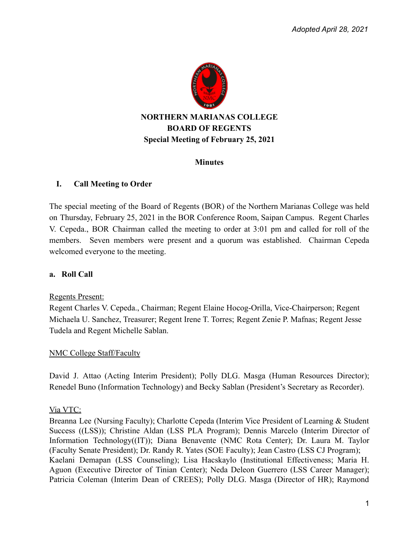

#### **Minutes**

### **I. Call Meeting to Order**

The special meeting of the Board of Regents (BOR) of the Northern Marianas College was held on Thursday, February 25, 2021 in the BOR Conference Room, Saipan Campus. Regent Charles V. Cepeda., BOR Chairman called the meeting to order at 3:01 pm and called for roll of the members. Seven members were present and a quorum was established. Chairman Cepeda welcomed everyone to the meeting.

#### **a. Roll Call**

#### Regents Present:

Regent Charles V. Cepeda., Chairman; Regent Elaine Hocog-Orilla, Vice-Chairperson; Regent Michaela U. Sanchez, Treasurer; Regent Irene T. Torres; Regent Zenie P. Mafnas; Regent Jesse Tudela and Regent Michelle Sablan.

### NMC College Staff/Faculty

David J. Attao (Acting Interim President); Polly DLG. Masga (Human Resources Director); Renedel Buno (Information Technology) and Becky Sablan (President's Secretary as Recorder).

### Via VTC:

Breanna Lee (Nursing Faculty); Charlotte Cepeda (Interim Vice President of Learning & Student Success ((LSS)); Christine Aldan (LSS PLA Program); Dennis Marcelo (Interim Director of Information Technology((IT)); Diana Benavente (NMC Rota Center); Dr. Laura M. Taylor (Faculty Senate President); Dr. Randy R. Yates (SOE Faculty); Jean Castro (LSS CJ Program); Kaelani Demapan (LSS Counseling); Lisa Hacskaylo (Institutional Effectiveness; Maria H. Aguon (Executive Director of Tinian Center); Neda Deleon Guerrero (LSS Career Manager); Patricia Coleman (Interim Dean of CREES); Polly DLG. Masga (Director of HR); Raymond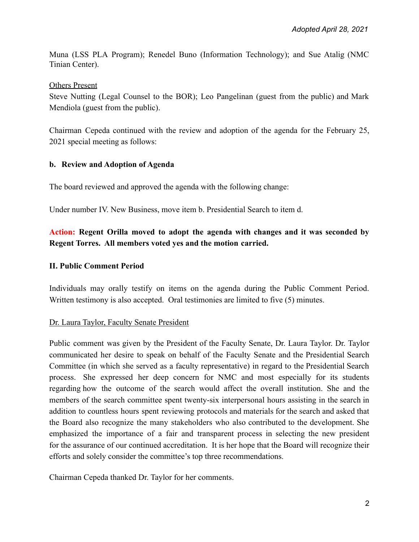Muna (LSS PLA Program); Renedel Buno (Information Technology); and Sue Atalig (NMC Tinian Center).

### Others Present

Steve Nutting (Legal Counsel to the BOR); Leo Pangelinan (guest from the public) and Mark Mendiola (guest from the public).

Chairman Cepeda continued with the review and adoption of the agenda for the February 25, 2021 special meeting as follows:

# **b. Review and Adoption of Agenda**

The board reviewed and approved the agenda with the following change:

Under number IV. New Business, move item b. Presidential Search to item d.

# **Action: Regent Orilla moved to adopt the agenda with changes and it was seconded by Regent Torres. All members voted yes and the motion carried.**

# **II. Public Comment Period**

Individuals may orally testify on items on the agenda during the Public Comment Period. Written testimony is also accepted. Oral testimonies are limited to five (5) minutes.

### Dr. Laura Taylor, Faculty Senate President

Public comment was given by the President of the Faculty Senate, Dr. Laura Taylor. Dr. Taylor communicated her desire to speak on behalf of the Faculty Senate and the Presidential Search Committee (in which she served as a faculty representative) in regard to the Presidential Search process. She expressed her deep concern for NMC and most especially for its students regarding how the outcome of the search would affect the overall institution. She and the members of the search committee spent twenty-six interpersonal hours assisting in the search in addition to countless hours spent reviewing protocols and materials for the search and asked that the Board also recognize the many stakeholders who also contributed to the development. She emphasized the importance of a fair and transparent process in selecting the new president for the assurance of our continued accreditation. It is her hope that the Board will recognize their efforts and solely consider the committee's top three recommendations.

Chairman Cepeda thanked Dr. Taylor for her comments.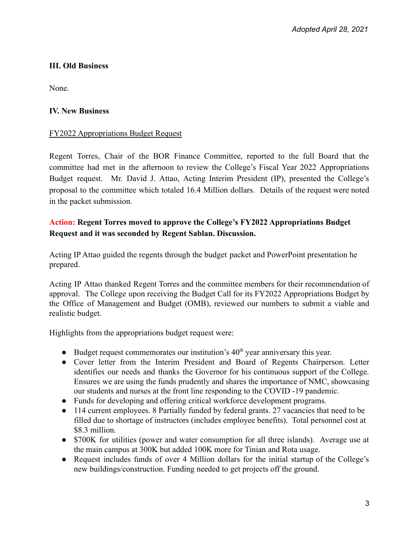# **III. Old Business**

None.

# **IV. New Business**

### FY2022 Appropriations Budget Request

Regent Torres, Chair of the BOR Finance Committee, reported to the full Board that the committee had met in the afternoon to review the College's Fiscal Year 2022 Appropriations Budget request. Mr. David J. Attao, Acting Interim President (IP), presented the College's proposal to the committee which totaled 16.4 Million dollars. Details of the request were noted in the packet submission.

# **Action: Regent Torres moved to approve the College's FY2022 Appropriations Budget Request and it was seconded by Regent Sablan. Discussion.**

Acting IP Attao guided the regents through the budget packet and PowerPoint presentation he prepared.

Acting IP Attao thanked Regent Torres and the committee members for their recommendation of approval. The College upon receiving the Budget Call for its FY2022 Appropriations Budget by the Office of Management and Budget (OMB), reviewed our numbers to submit a viable and realistic budget.

Highlights from the appropriations budget request were:

- $\bullet$  Budget request commemorates our institution's 40<sup>th</sup> year anniversary this year.
- Cover letter from the Interim President and Board of Regents Chairperson. Letter identifies our needs and thanks the Governor for his continuous support of the College. Ensures we are using the funds prudently and shares the importance of NMC, showcasing our students and nurses at the front line responding to the COVID -19 pandemic.
- Funds for developing and offering critical workforce development programs.
- 114 current employees. 8 Partially funded by federal grants. 27 vacancies that need to be filled due to shortage of instructors (includes employee benefits). Total personnel cost at \$8.3 million.
- \$700K for utilities (power and water consumption for all three islands). Average use at the main campus at 300K but added 100K more for Tinian and Rota usage.
- Request includes funds of over 4 Million dollars for the initial startup of the College's new buildings/construction. Funding needed to get projects off the ground.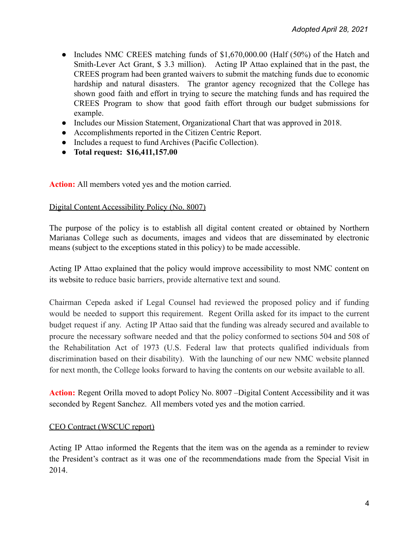- Includes NMC CREES matching funds of \$1,670,000.00 (Half (50%) of the Hatch and Smith-Lever Act Grant, \$ 3.3 million). Acting IP Attao explained that in the past, the CREES program had been granted waivers to submit the matching funds due to economic hardship and natural disasters. The grantor agency recognized that the College has shown good faith and effort in trying to secure the matching funds and has required the CREES Program to show that good faith effort through our budget submissions for example.
- Includes our Mission Statement, Organizational Chart that was approved in 2018.
- Accomplishments reported in the Citizen Centric Report.
- Includes a request to fund Archives (Pacific Collection).
- **● Total request: \$16,411,157.00**

**Action:** All members voted yes and the motion carried.

#### Digital Content Accessibility Policy (No. 8007)

The purpose of the policy is to establish all digital content created or obtained by Northern Marianas College such as documents, images and videos that are disseminated by electronic means (subject to the exceptions stated in this policy) to be made accessible.

Acting IP Attao explained that the policy would improve accessibility to most NMC content on its website to reduce basic barriers, provide alternative text and sound.

Chairman Cepeda asked if Legal Counsel had reviewed the proposed policy and if funding would be needed to support this requirement. Regent Orilla asked for its impact to the current budget request if any. Acting IP Attao said that the funding was already secured and available to procure the necessary software needed and that the policy conformed to sections 504 and 508 of the Rehabilitation Act of 1973 (U.S. Federal law that protects qualified individuals from discrimination based on their disability). With the launching of our new NMC website planned for next month, the College looks forward to having the contents on our website available to all.

**Action:** Regent Orilla moved to adopt Policy No. 8007 –Digital Content Accessibility and it was seconded by Regent Sanchez. All members voted yes and the motion carried.

### CEO Contract (WSCUC report)

Acting IP Attao informed the Regents that the item was on the agenda as a reminder to review the President's contract as it was one of the recommendations made from the Special Visit in 2014.